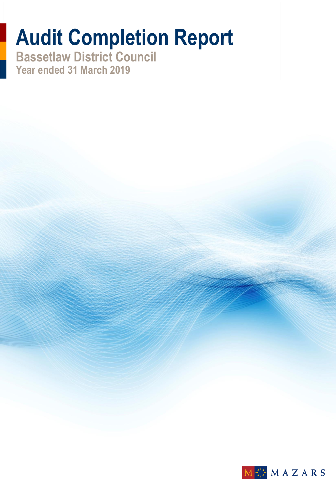# **Audit Completion Report**

**Bassetlaw District Council Year ended 31 March 2019**

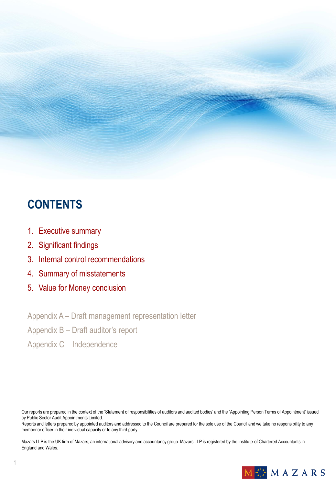### **CONTENTS**

- 1. Executive summary
- 2. Significant findings
- 3. Internal control recommendations
- 4. Summary of misstatements
- 5. Value for Money conclusion

Appendix A – Draft management representation letter

Appendix B – Draft auditor's report

Appendix C – Independence

Our reports are prepared in the context of the 'Statement of responsibilities of auditors and audited bodies' and the 'Appointing Person Terms of Appointment' issued by Public Sector Audit Appointments Limited.

Reports and letters prepared by appointed auditors and addressed to the Council are prepared for the sole use of the Council and we take no responsibility to any member or officer in their individual capacity or to any third party.

Mazars LLP is the UK firm of Mazars, an international advisory and accountancy group. Mazars LLP is registered by the Institute of Chartered Accountants in England and Wales.

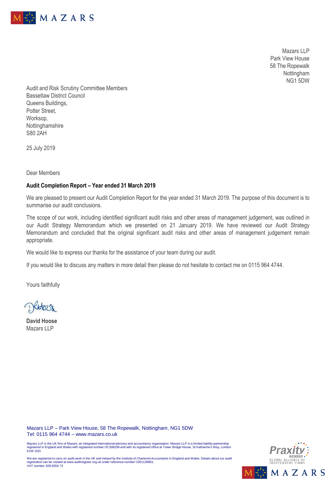

Mazars LLP Park View House 58 The Ropewalk Nottingham NG1 5DW

Audit and Risk Scrutiny Committee Members Bassetlaw District Council Queens Buildings, Potter Street, Worksop, Nottinghamshire S80 2AH

25 July 2019

Dear Members

#### **Audit Completion Report – Year ended 31 March 2019**

We are pleased to present our Audit Completion Report for the year ended 31 March 2019. The purpose of this document is to summarise our audit conclusions.

The scope of our work, including identified significant audit risks and other areas of management judgement, was outlined in our Audit Strategy Memorandum which we presented on 21 January 2019. We have reviewed our Audit Strategy Memorandum and concluded that the original significant audit risks and other areas of management judgement remain appropriate.

We would like to express our thanks for the assistance of your team during our audit.

If you would like to discuss any matters in more detail then please do not hesitate to contact me on 0115 964 4744.

Yours faithfully

**David Hoose** Mazars LLP

Mazars LLP – Park View House, 58 The Ropewalk, Nottingham, NG1 5DW Tel: 0115 964 4744 – www.mazars.co.uk

Mazars LLP is the UK firm of Mazars, an integrated international advisory and accountancy organisation. Mazars LLP is a limited liability partnership<br>registered in England and Wales with registered number OC308299 and with



We are registered to carry on audit work in the UK and Ireland by the Institute of Chartered Accountants in England and Wales. Details about our audit registration can be viewed at www.auditregister.org.uk under reference number C001139861. VAT number: 839 8356 73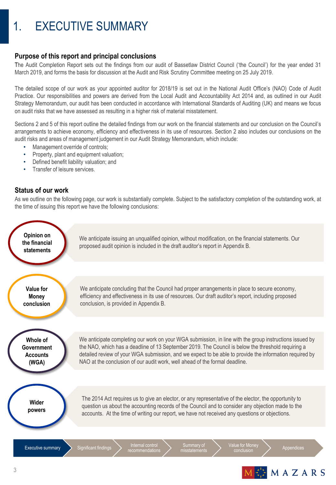### 1. EXECUTIVE SUMMARY

#### **Purpose of this report and principal conclusions**

The Audit Completion Report sets out the findings from our audit of Bassetlaw District Council ('the Council') for the year ended 31 March 2019, and forms the basis for discussion at the Audit and Risk Scrutiny Committee meeting on 25 July 2019.

The detailed scope of our work as your appointed auditor for 2018/19 is set out in the National Audit Office's (NAO) Code of Audit Practice. Our responsibilities and powers are derived from the Local Audit and Accountability Act 2014 and, as outlined in our Audit Strategy Memorandum, our audit has been conducted in accordance with International Standards of Auditing (UK) and means we focus on audit risks that we have assessed as resulting in a higher risk of material misstatement.

Sections 2 and 5 of this report outline the detailed findings from our work on the financial statements and our conclusion on the Council's arrangements to achieve economy, efficiency and effectiveness in its use of resources. Section 2 also includes our conclusions on the audit risks and areas of management judgement in our Audit Strategy Memorandum, which include:

- Management override of controls:
- Property, plant and equipment valuation;
- Defined benefit liability valuation; and
- Transfer of leisure services.

#### **Status of our work**

As we outline on the following page, our work is substantially complete. Subject to the satisfactory completion of the outstanding work, at the time of issuing this report we have the following conclusions:



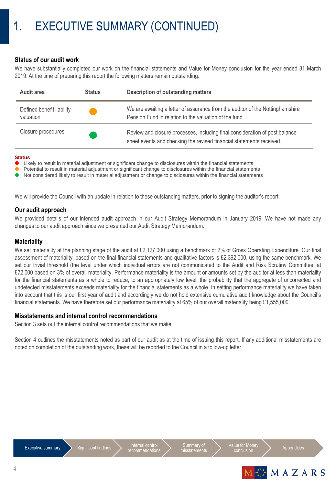#### **Status of our audit work**

We have substantially completed our work on the financial statements and Value for Money conclusion for the year ended 31 March 2019. At the time of preparing this report the following matters remain outstanding:

| Audit area                             | <b>Status</b> | <b>Description of outstanding matters</b>                                                                                                           |
|----------------------------------------|---------------|-----------------------------------------------------------------------------------------------------------------------------------------------------|
| Defined benefit liability<br>valuation |               | We are awaiting a letter of assurance from the auditor of the Nottinghamshire<br>Pension Fund in relation to the valuation of the fund.             |
| Closure procedures                     |               | Review and closure processes, including final consideration of post balance<br>sheet events and checking the revised financial statements received. |

#### **Status**

**Likely to result in material adjustment or significant change to disclosures within the financial statements** 

Potential to result in material adjustment or significant change to disclosures within the financial statements

Not considered likely to result in material adjustment or change to disclosures within the financial statements

We will provide the Council with an update in relation to these outstanding matters, prior to signing the auditor's report.

#### **Our audit approach**

We provided details of our intended audit approach in our Audit Strategy Memorandum in January 2019. We have not made any changes to our audit approach since we presented our Audit Strategy Memorandum.

#### **Materiality**

We set materiality at the planning stage of the audit at £2,127,000 using a benchmark of 2% of Gross Operating Expenditure. Our final assessment of materiality, based on the final financial statements and qualitative factors is £2,392,000, using the same benchmark. We set our trivial threshold (the level under which individual errors are not communicated to the Audit and Risk Scrutiny Committee, at £72,000 based on 3% of overall materiality. Performance materiality is the amount or amounts set by the auditor at less than materiality for the financial statements as a whole to reduce, to an appropriately low level, the probability that the aggregate of uncorrected and undetected misstatements exceeds materiality for the financial statements as a whole. In setting performance materiality we have taken into account that this is our first year of audit and accordingly we do not hold extensive cumulative audit knowledge about the Council's financial statements. We have therefore set our performance materiality at 65% of our overall materiality being £1,555,000.

#### **Misstatements and internal control recommendations**

Section 3 sets out the internal control recommendations that we make.

Section 4 outlines the misstatements noted as part of our audit as at the time of issuing this report. If any additional misstatements are noted on completion of the outstanding work, these will be reported to the Council in a follow-up letter.





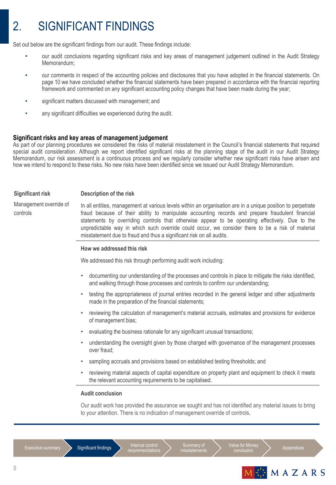### 2. SIGNIFICANT FINDINGS

Set out below are the significant findings from our audit. These findings include:

- our audit conclusions regarding significant risks and key areas of management judgement outlined in the Audit Strategy Memorandum;
- our comments in respect of the accounting policies and disclosures that you have adopted in the financial statements. On page 10 we have concluded whether the financial statements have been prepared in accordance with the financial reporting framework and commented on any significant accounting policy changes that have been made during the year;
- significant matters discussed with management; and
- any significant difficulties we experienced during the audit.

#### **Significant risks and key areas of management judgement**

As part of our planning procedures we considered the risks of material misstatement in the Council's financial statements that required special audit consideration. Although we report identified significant risks at the planning stage of the audit in our Audit Strategy Memorandum, our risk assessment is a continuous process and we regularly consider whether new significant risks have arisen and how we intend to respond to these risks. No new risks have been identified since we issued our Audit Strategy Memorandum.

#### **Significant risk Description of the risk**

Management override of controls

In all entities, management at various levels within an organisation are in a unique position to perpetrate fraud because of their ability to manipulate accounting records and prepare fraudulent financial statements by overriding controls that otherwise appear to be operating effectively. Due to the unpredictable way in which such override could occur, we consider there to be a risk of material misstatement due to fraud and thus a significant risk on all audits.

#### **How we addressed this risk**

We addressed this risk through performing audit work including:

- documenting our understanding of the processes and controls in place to mitigate the risks identified, and walking through those processes and controls to confirm our understanding;
- testing the appropriateness of journal entries recorded in the general ledger and other adjustments made in the preparation of the financial statements;
- reviewing the calculation of management's material accruals, estimates and provisions for evidence of management bias;
- evaluating the business rationale for any significant unusual transactions;
- understanding the oversight given by those charged with governance of the management processes over fraud;
- sampling accruals and provisions based on established testing thresholds; and
- reviewing material aspects of capital expenditure on property plant and equipment to check it meets the relevant accounting requirements to be capitalised.

#### **Audit conclusion**

Our audit work has provided the assurance we sought and has not identified any material issues to bring to your attention. There is no indication of management override of controls.



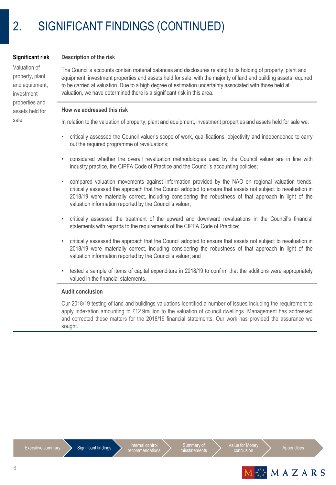#### **Significant risk**

Valuation of property, plant and equipment, investment properties and assets held for sale

#### **Description of the risk**

The Council's accounts contain material balances and disclosures relating to its holding of property, plant and equipment, investment properties and assets held for sale, with the majority of land and building assets required to be carried at valuation. Due to a high degree of estimation uncertainty associated with those held at valuation, we have determined there is a significant risk in this area.

#### **How we addressed this risk**

In relation to the valuation of property, plant and equipment, investment properties and assets held for sale we:

- critically assessed the Council valuer's scope of work, qualifications, objectivity and independence to carry out the required programme of revaluations;
- considered whether the overall revaluation methodologies used by the Council valuer are in line with industry practice, the CIPFA Code of Practice and the Council's accounting policies;
- compared valuation movements against information provided by the NAO on regional valuation trends; critically assessed the approach that the Council adopted to ensure that assets not subject to revaluation in 2018/19 were materially correct, including considering the robustness of that approach in light of the valuation information reported by the Council's valuer;
- critically assessed the treatment of the upward and downward revaluations in the Council's financial statements with regards to the requirements of the CIPFA Code of Practice;
- critically assessed the approach that the Council adopted to ensure that assets not subject to revaluation in 2018/19 were materially correct, including considering the robustness of that approach in light of the valuation information reported by the Council's valuer; and
- tested a sample of items of capital expenditure in 2018/19 to confirm that the additions were appropriately valued in the financial statements.

#### **Audit conclusion**

Our 2018/19 testing of land and buildings valuations identified a number of issues including the requirement to apply indexation amounting to £12.9million to the valuation of council dwellings. Management has addressed and corrected these matters for the 2018/19 financial statements. Our work has provided the assurance we sought.



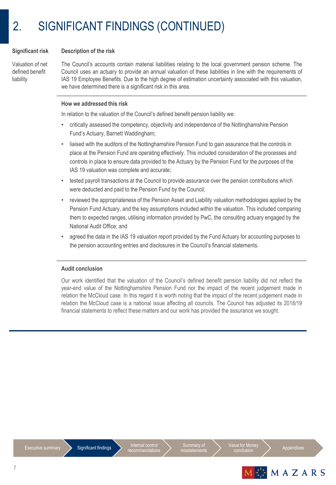#### **Significant risk Description of the risk**

Valuation of net defined benefit liability

The Council's accounts contain material liabilities relating to the local government pension scheme. The Council uses an actuary to provide an annual valuation of these liabilities in line with the requirements of IAS 19 Employee Benefits. Due to the high degree of estimation uncertainty associated with this valuation, we have determined there is a significant risk in this area.

#### **How we addressed this risk**

In relation to the valuation of the Council's defined benefit pension liability we:

- critically assessed the competency, objectivity and independence of the Nottinghamshire Pension Fund's Actuary, Barnett Waddingham;
- liaised with the auditors of the Nottinghamshire Pension Fund to gain assurance that the controls in place at the Pension Fund are operating effectively. This included consideration of the processes and controls in place to ensure data provided to the Actuary by the Pension Fund for the purposes of the IAS 19 valuation was complete and accurate;
- tested payroll transactions at the Council to provide assurance over the pension contributions which were deducted and paid to the Pension Fund by the Council;
- reviewed the appropriateness of the Pension Asset and Liability valuation methodologies applied by the Pension Fund Actuary, and the key assumptions included within the valuation. This included comparing them to expected ranges, utilising information provided by PwC, the consulting actuary engaged by the National Audit Office; and
- agreed the data in the IAS 19 valuation report provided by the Fund Actuary for accounting purposes to the pension accounting entries and disclosures in the Council's financial statements.

#### **Audit conclusion**

Our work identified that the valuation of the Council's defined benefit pension liability did not reflect the year-end value of the Nottinghamshire Pension Fund nor the impact of the recent judgement made in relation the McCloud case. In this regard it is worth noting that the impact of the recent judgement made in relation the McCloud case is a national issue affecting all councils. The Council has adjusted its 2018/19 financial statements to reflect these matters and our work has provided the assurance we sought.



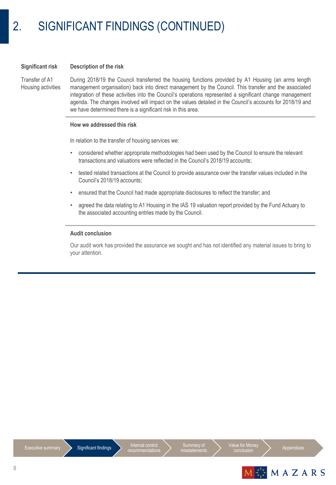#### **Significant risk Description of the risk**

Transfer of A1 Housing activities

During 2018/19 the Council transferred the housing functions provided by A1 Housing (an arms length management organisation) back into direct management by the Council. This transfer and the associated integration of these activities into the Council's operations represented a significant change management agenda. The changes involved will impact on the values detailed in the Council's accounts for 2018/19 and we have determined there is a significant risk in this area.

#### **How we addressed this risk**

In relation to the transfer of housing services we:

- considered whether appropriate methodologies had been used by the Council to ensure the relevant transactions and valuations were reflected in the Council's 2018/19 accounts;
- tested related transactions at the Council to provide assurance over the transfer values included in the Council's 2018/19 accounts;
- ensured that the Council had made appropriate disclosures to reflect the transfer; and
- agreed the data relating to A1 Housing in the IAS 19 valuation report provided by the Fund Actuary to the associated accounting entries made by the Council.

#### **Audit conclusion**

Our audit work has provided the assurance we sought and has not identified any material issues to bring to your attention.

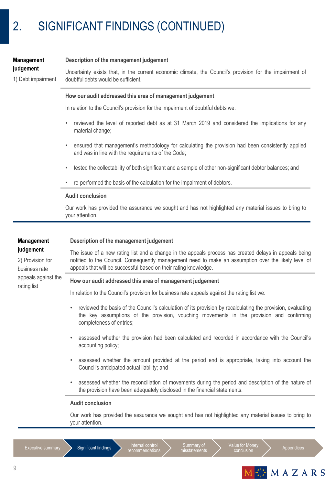| <b>Management</b><br>judgement<br>1) Debt impairment                | Description of the management judgement<br>Uncertainty exists that, in the current economic climate, the Council's provision for the impairment of<br>doubtful debts would be sufficient.                                                                                                                                     |  |  |  |  |
|---------------------------------------------------------------------|-------------------------------------------------------------------------------------------------------------------------------------------------------------------------------------------------------------------------------------------------------------------------------------------------------------------------------|--|--|--|--|
|                                                                     | How our audit addressed this area of management judgement                                                                                                                                                                                                                                                                     |  |  |  |  |
|                                                                     | In relation to the Council's provision for the impairment of doubtful debts we:                                                                                                                                                                                                                                               |  |  |  |  |
|                                                                     | reviewed the level of reported debt as at 31 March 2019 and considered the implications for any<br>$\bullet$<br>material change;                                                                                                                                                                                              |  |  |  |  |
|                                                                     | ensured that management's methodology for calculating the provision had been consistently applied<br>$\bullet$<br>and was in line with the requirements of the Code;                                                                                                                                                          |  |  |  |  |
|                                                                     | tested the collectability of both significant and a sample of other non-significant debtor balances; and<br>$\bullet$                                                                                                                                                                                                         |  |  |  |  |
|                                                                     | re-performed the basis of the calculation for the impairment of debtors.                                                                                                                                                                                                                                                      |  |  |  |  |
|                                                                     | <b>Audit conclusion</b>                                                                                                                                                                                                                                                                                                       |  |  |  |  |
|                                                                     | Our work has provided the assurance we sought and has not highlighted any material issues to bring to<br>your attention.                                                                                                                                                                                                      |  |  |  |  |
| <b>Management</b><br>judgement<br>2) Provision for<br>business rate | Description of the management judgement<br>The issue of a new rating list and a change in the appeals process has created delays in appeals being<br>notified to the Council. Consequently management need to make an assumption over the likely level of<br>appeals that will be successful based on their rating knowledge. |  |  |  |  |
| appeals against the                                                 | How our audit addressed this area of management judgement                                                                                                                                                                                                                                                                     |  |  |  |  |
| rating list                                                         | In relation to the Council's provision for business rate appeals against the rating list we:                                                                                                                                                                                                                                  |  |  |  |  |
|                                                                     | reviewed the basis of the Council's calculation of its provision by recalculating the provision, evaluating<br>٠<br>the key assumptions of the provision, vouching movements in the provision and confirming<br>completeness of entries;                                                                                      |  |  |  |  |
|                                                                     | assessed whether the provision had been calculated and recorded in accordance with the Council's<br>accounting policy;                                                                                                                                                                                                        |  |  |  |  |
|                                                                     | assessed whether the amount provided at the period end is appropriate, taking into account the<br>٠<br>Council's anticipated actual liability; and                                                                                                                                                                            |  |  |  |  |
|                                                                     | assessed whether the reconciliation of movements during the period and description of the nature of<br>the provision have been adequately disclosed in the financial statements.                                                                                                                                              |  |  |  |  |
|                                                                     | <b>Audit conclusion</b>                                                                                                                                                                                                                                                                                                       |  |  |  |  |
|                                                                     | Our work has provided the assurance we sought and has not highlighted any material issues to bring to<br>your attention.                                                                                                                                                                                                      |  |  |  |  |

Internal control<br>recommendations

Summary of misstatements



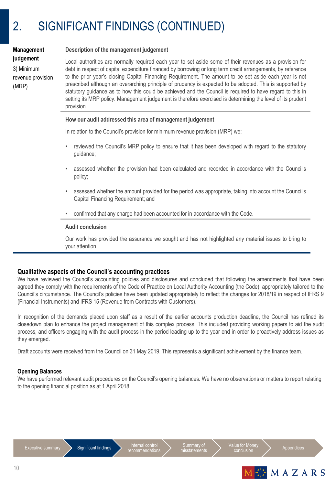| judgement         |
|-------------------|
| 3) Minimum        |
| revenue provision |
| (MRP)             |
|                   |

**Management**

#### **Description of the management judgement**

Local authorities are normally required each year to set aside some of their revenues as a provision for debt in respect of capital expenditure financed by borrowing or long term credit arrangements, by reference to the prior year's closing Capital Financing Requirement. The amount to be set aside each year is not prescribed although an overarching principle of prudency is expected to be adopted. This is supported by statutory guidance as to how this could be achieved and the Council is required to have regard to this in setting its MRP policy. Management judgement is therefore exercised is determining the level of its prudent provision.

#### **How our audit addressed this area of management judgement**

In relation to the Council's provision for minimum revenue provision (MRP) we:

- reviewed the Council's MRP policy to ensure that it has been developed with regard to the statutory guidance;
- assessed whether the provision had been calculated and recorded in accordance with the Council's policy;
- assessed whether the amount provided for the period was appropriate, taking into account the Council's Capital Financing Requirement; and
- confirmed that any charge had been accounted for in accordance with the Code.

#### **Audit conclusion**

Our work has provided the assurance we sought and has not highlighted any material issues to bring to your attention.

### **Qualitative aspects of the Council's accounting practices**

We have reviewed the Council's accounting policies and disclosures and concluded that following the amendments that have been agreed they comply with the requirements of the Code of Practice on Local Authority Accounting (the Code), appropriately tailored to the Council's circumstance. The Council's policies have been updated appropriately to reflect the changes for 2018/19 in respect of IFRS 9 (Financial Instruments) and IFRS 15 (Revenue from Contracts with Customers).

In recognition of the demands placed upon staff as a result of the earlier accounts production deadline, the Council has refined its closedown plan to enhance the project management of this complex process. This included providing working papers to aid the audit process, and officers engaging with the audit process in the period leading up to the year end in order to proactively address issues as they emerged.

Draft accounts were received from the Council on 31 May 2019. This represents a significant achievement by the finance team.

#### **Opening Balances**

We have performed relevant audit procedures on the Council's opening balances. We have no observations or matters to report relating to the opening financial position as at 1 April 2018.

Executive summary Significant findings Internal control<br>
recommendations



Value for Money<br>conclusion



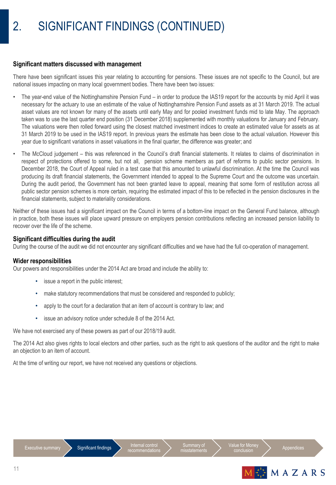#### **Significant matters discussed with management**

There have been significant issues this year relating to accounting for pensions. These issues are not specific to the Council, but are national issues impacting on many local government bodies. There have been two issues:

- The year-end value of the Nottinghamshire Pension Fund in order to produce the IAS19 report for the accounts by mid April it was necessary for the actuary to use an estimate of the value of Nottinghamshire Pension Fund assets as at 31 March 2019. The actual asset values are not known for many of the assets until early May and for pooled investment funds mid to late May. The approach taken was to use the last quarter end position (31 December 2018) supplemented with monthly valuations for January and February. The valuations were then rolled forward using the closest matched investment indices to create an estimated value for assets as at 31 March 2019 to be used in the IAS19 report. In previous years the estimate has been close to the actual valuation. However this year due to significant variations in asset valuations in the final quarter, the difference was greater; and
- The McCloud judgement this was referenced in the Council's draft financial statements. It relates to claims of discrimination in respect of protections offered to some, but not all, pension scheme members as part of reforms to public sector pensions. In December 2018, the Court of Appeal ruled in a test case that this amounted to unlawful discrimination. At the time the Council was producing its draft financial statements, the Government intended to appeal to the Supreme Court and the outcome was uncertain. During the audit period, the Government has not been granted leave to appeal, meaning that some form of restitution across all public sector pension schemes is more certain, requiring the estimated impact of this to be reflected in the pension disclosures in the financial statements, subject to materiality considerations.

Neither of these issues had a significant impact on the Council in terms of a bottom-line impact on the General Fund balance, although in practice, both these issues will place upward pressure on employers pension contributions reflecting an increased pension liability to recover over the life of the scheme.

#### **Significant difficulties during the audit**

During the course of the audit we did not encounter any significant difficulties and we have had the full co-operation of management.

#### **Wider responsibilities**

Our powers and responsibilities under the 2014 Act are broad and include the ability to:

- issue a report in the public interest;
- make statutory recommendations that must be considered and responded to publicly;
- apply to the court for a declaration that an item of account is contrary to law; and
- issue an advisory notice under schedule 8 of the 2014 Act.

We have not exercised any of these powers as part of our 2018/19 audit.

The 2014 Act also gives rights to local electors and other parties, such as the right to ask questions of the auditor and the right to make an objection to an item of account.

At the time of writing our report, we have not received any questions or objections.



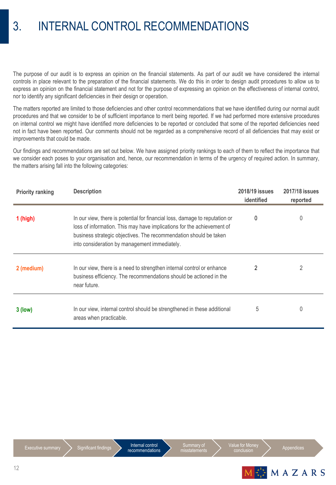### 3. INTERNAL CONTROL RECOMMENDATIONS

The purpose of our audit is to express an opinion on the financial statements. As part of our audit we have considered the internal controls in place relevant to the preparation of the financial statements. We do this in order to design audit procedures to allow us to express an opinion on the financial statement and not for the purpose of expressing an opinion on the effectiveness of internal control, nor to identify any significant deficiencies in their design or operation.

The matters reported are limited to those deficiencies and other control recommendations that we have identified during our normal audit procedures and that we consider to be of sufficient importance to merit being reported. If we had performed more extensive procedures on internal control we might have identified more deficiencies to be reported or concluded that some of the reported deficiencies need not in fact have been reported. Our comments should not be regarded as a comprehensive record of all deficiencies that may exist or improvements that could be made.

Our findings and recommendations are set out below. We have assigned priority rankings to each of them to reflect the importance that we consider each poses to your organisation and, hence, our recommendation in terms of the urgency of required action. In summary, the matters arising fall into the following categories:

| <b>Priority ranking</b> | <b>Description</b>                                                                                                                                                                                                                                                          | 2018/19 issues<br>identified | 2017/18 issues<br>reported |
|-------------------------|-----------------------------------------------------------------------------------------------------------------------------------------------------------------------------------------------------------------------------------------------------------------------------|------------------------------|----------------------------|
| $1$ (high)              | In our view, there is potential for financial loss, damage to reputation or<br>loss of information. This may have implications for the achievement of<br>business strategic objectives. The recommendation should be taken<br>into consideration by management immediately. | 0                            | 0                          |
| 2 (medium)              | In our view, there is a need to strengthen internal control or enhance<br>business efficiency. The recommendations should be actioned in the<br>near future.                                                                                                                | 2                            | 2                          |
| $3$ (low)               | In our view, internal control should be strengthened in these additional<br>areas when practicable.                                                                                                                                                                         | 5                            | 0                          |





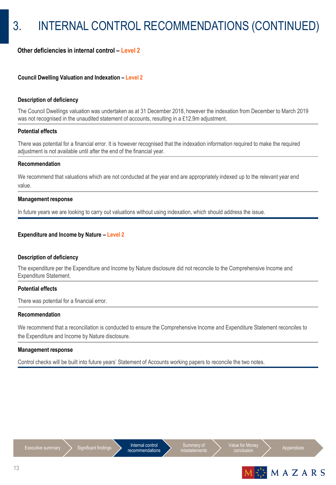### **Other deficiencies in internal control – Level 2**

#### **Council Dwelling Valuation and Indexation – Level 2**

#### **Description of deficiency**

The Council Dwellings valuation was undertaken as at 31 December 2018, however the indexation from December to March 2019 was not recognised in the unaudited statement of accounts, resulting in a £12.9m adjustment.

#### **Potential effects**

There was potential for a financial error. It is however recognised that the indexation information required to make the required adjustment is not available until after the end of the financial year.

#### **Recommendation**

We recommend that valuations which are not conducted at the year end are appropriately indexed up to the relevant year end value.

#### **Management response**

In future years we are looking to carry out valuations without using indexation, which should address the issue.

#### **Expenditure and Income by Nature – Level 2**

#### **Description of deficiency**

The expenditure per the Expenditure and Income by Nature disclosure did not reconcile to the Comprehensive Income and Expenditure Statement.

#### **Potential effects**

There was potential for a financial error.

#### **Recommendation**

We recommend that a reconciliation is conducted to ensure the Comprehensive Income and Expenditure Statement reconciles to the Expenditure and Income by Nature disclosure.

#### **Management response**

Control checks will be built into future years' Statement of Accounts working papers to reconcile the two notes.







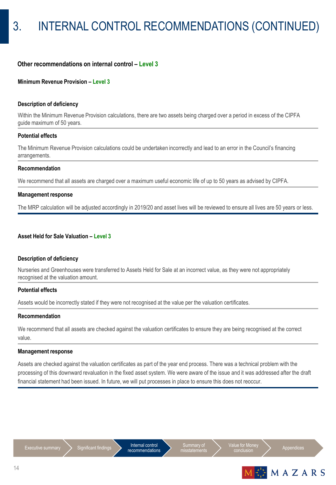#### **Other recommendations on internal control – Level 3**

#### **Minimum Revenue Provision - Level 3**

#### **Description of deficiency**

Within the Minimum Revenue Provision calculations, there are two assets being charged over a period in excess of the CIPFA guide maximum of 50 years.

#### **Potential effects**

The Minimum Revenue Provision calculations could be undertaken incorrectly and lead to an error in the Council's financing arrangements.

#### **Recommendation**

We recommend that all assets are charged over a maximum useful economic life of up to 50 years as advised by CIPFA.

#### **Management response**

The MRP calculation will be adjusted accordingly in 2019/20 and asset lives will be reviewed to ensure all lives are 50 years or less.

#### **Asset Held for Sale Valuation – Level 3**

#### **Description of deficiency**

Nurseries and Greenhouses were transferred to Assets Held for Sale at an incorrect value, as they were not appropriately recognised at the valuation amount.

#### **Potential effects**

Assets would be incorrectly stated if they were not recognised at the value per the valuation certificates.

#### **Recommendation**

We recommend that all assets are checked against the valuation certificates to ensure they are being recognised at the correct value.

#### **Management response**

Assets are checked against the valuation certificates as part of the year end process. There was a technical problem with the processing of this downward revaluation in the fixed asset system. We were aware of the issue and it was addressed after the draft financial statement had been issued. In future, we will put processes in place to ensure this does not reoccur.





Value for Money<br>
conclusion
<br>
appendices

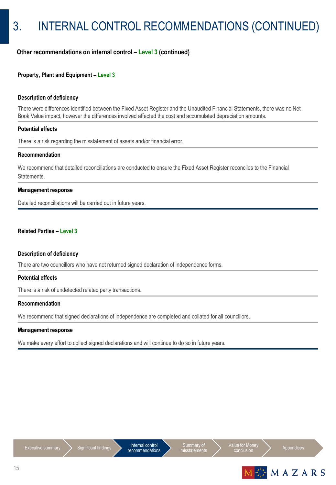### **Other recommendations on internal control – Level 3 (continued)**

#### **Property, Plant and Equipment – Level 3**

#### **Description of deficiency**

There were differences identified between the Fixed Asset Register and the Unaudited Financial Statements, there was no Net Book Value impact, however the differences involved affected the cost and accumulated depreciation amounts.

#### **Potential effects**

There is a risk regarding the misstatement of assets and/or financial error.

#### **Recommendation**

We recommend that detailed reconciliations are conducted to ensure the Fixed Asset Register reconciles to the Financial Statements.

#### **Management response**

Detailed reconciliations will be carried out in future years.

#### **Related Parties – Level 3**

#### **Description of deficiency**

There are two councillors who have not returned signed declaration of independence forms.

#### **Potential effects**

There is a risk of undetected related party transactions.

#### **Recommendation**

We recommend that signed declarations of independence are completed and collated for all councillors.

#### **Management response**

We make every effort to collect signed declarations and will continue to do so in future years.





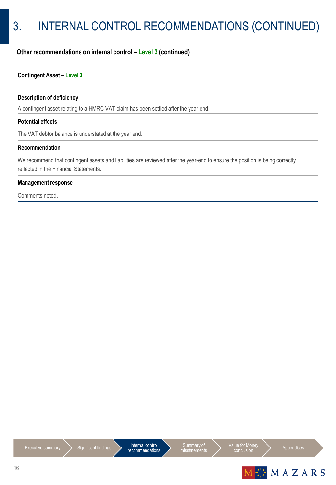## 3. INTERNAL CONTROL RECOMMENDATIONS (CONTINUED)

### **Other recommendations on internal control – Level 3 (continued)**

#### **Contingent Asset – Level 3**

#### **Description of deficiency**

A contingent asset relating to a HMRC VAT claim has been settled after the year end.

#### **Potential effects**

The VAT debtor balance is understated at the year end.

#### **Recommendation**

We recommend that contingent assets and liabilities are reviewed after the year-end to ensure the position is being correctly reflected in the Financial Statements.

#### **Management response**

Comments noted.





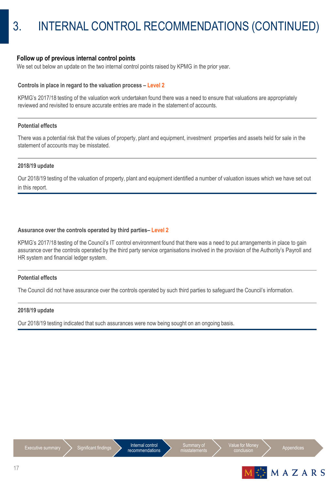#### **Follow up of previous internal control points**

We set out below an update on the two internal control points raised by KPMG in the prior year.

#### **Controls in place in regard to the valuation process – Level 2**

KPMG's 2017/18 testing of the valuation work undertaken found there was a need to ensure that valuations are appropriately reviewed and revisited to ensure accurate entries are made in the statement of accounts.

#### **Potential effects**

There was a potential risk that the values of property, plant and equipment, investment properties and assets held for sale in the statement of accounts may be misstated.

#### **2018/19 update**

Our 2018/19 testing of the valuation of property, plant and equipment identified a number of valuation issues which we have set out in this report.

#### **Assurance over the controls operated by third parties– Level 2**

KPMG's 2017/18 testing of the Council's IT control environment found that there was a need to put arrangements in place to gain assurance over the controls operated by the third party service organisations involved in the provision of the Authority's Payroll and HR system and financial ledger system.

#### **Potential effects**

The Council did not have assurance over the controls operated by such third parties to safeguard the Council's information.

#### **2018/19 update**

Our 2018/19 testing indicated that such assurances were now being sought on an ongoing basis.



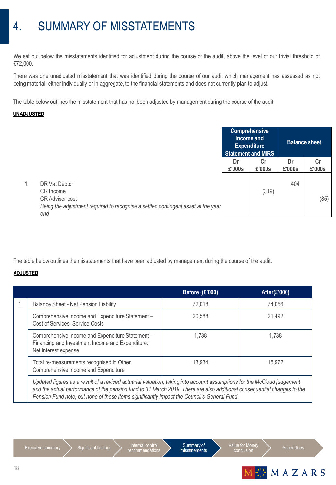### 4. SUMMARY OF MISSTATEMENTS

We set out below the misstatements identified for adjustment during the course of the audit, above the level of our trivial threshold of £72,000.

There was one unadjusted misstatement that was identified during the course of our audit which management has assessed as not being material, either individually or in aggregate, to the financial statements and does not currently plan to adjust.

The table below outlines the misstatement that has not been adjusted by management during the course of the audit.

#### **UNADJUSTED**

|    |                                                                                                                                                  | <b>Comprehensive</b><br>Income and<br><b>Expenditure</b><br><b>Statement and MIRS</b> |              | <b>Balance sheet</b> |              |
|----|--------------------------------------------------------------------------------------------------------------------------------------------------|---------------------------------------------------------------------------------------|--------------|----------------------|--------------|
|    |                                                                                                                                                  | Dr<br>£'000s                                                                          | Cr<br>£'000s | Dr<br>£'000s         | Cr<br>£'000s |
| 1. | DR Vat Debtor<br>CR Income<br><b>CR Adviser cost</b><br>Being the adjustment required to recognise a settled contingent asset at the year<br>end |                                                                                       | (319)        | 404                  | (85)         |

The table below outlines the misstatements that have been adjusted by management during the course of the audit.

### **ADJUSTED**

|    |                                                                                                                              | <b>Before ((£'000)</b> | After (£'000) |
|----|------------------------------------------------------------------------------------------------------------------------------|------------------------|---------------|
| 1. | Balance Sheet - Net Pension Liability                                                                                        | 72,018                 | 74,056        |
|    | Comprehensive Income and Expenditure Statement-<br>Cost of Services: Service Costs                                           | 20,588                 | 21,492        |
|    | Comprehensive Income and Expenditure Statement -<br>Financing and Investment Income and Expenditure:<br>Net interest expense | 1,738                  | 1,738         |
|    | Total re-measurements recognised in Other<br>Comprehensive Income and Expenditure                                            | 13,934                 | 15,972        |
|    | Undated figures as a result of a revised actuarial valuation, taking into account assumptions for the McCloud judgement      |                        |               |

Updated figures as a result of a revised actuarial valuation, taking into account assumptions for the McCloud judgement *and the actual performance of the pension fund to 31 March 2019. There are also additional consequential changes to the Pension Fund note, but none of these items significantly impact the Council's General Fund.*

Executive summary  $\sum$  Significant findings  $\sum$  Internal control



Value for Money<br>
conclusion
<br>
appendices

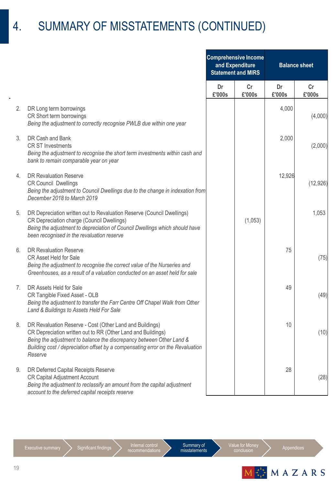### 4. SUMMARY OF MISSTATEMENTS (CONTINUED)

|                |                                                                                                                                                                                                                                                                                               | <b>Comprehensive Income</b><br>and Expenditure<br><b>Statement and MIRS</b> |              | <b>Balance sheet</b> |              |
|----------------|-----------------------------------------------------------------------------------------------------------------------------------------------------------------------------------------------------------------------------------------------------------------------------------------------|-----------------------------------------------------------------------------|--------------|----------------------|--------------|
|                |                                                                                                                                                                                                                                                                                               | Dr<br>£'000s                                                                | Cr<br>£'000s | Dr<br>£'000s         | Cr<br>£'000s |
| 2.             | DR Long term borrowings<br>CR Short term borrowings<br>Being the adjustment to correctly recognise PWLB due within one year                                                                                                                                                                   |                                                                             |              | 4,000                | (4,000)      |
| 3.             | DR Cash and Bank<br><b>CR ST Investments</b><br>Being the adjustment to recognise the short term investments within cash and<br>bank to remain comparable year on year                                                                                                                        |                                                                             |              | 2,000                | (2,000)      |
| 4.             | <b>DR Revaluation Reserve</b><br><b>CR Council Dwellings</b><br>Being the adjustment to Council Dwellings due to the change in indexation from<br>December 2018 to March 2019                                                                                                                 |                                                                             |              | 12,926               | (12, 926)    |
| 5.             | DR Depreciation written out to Revaluation Reserve (Council Dwellings)<br>CR Depreciation charge (Council Dwellings)<br>Being the adjustment to depreciation of Council Dwellings which should have<br>been recognised in the revaluation reserve                                             |                                                                             | (1,053)      |                      | 1,053        |
| 6.             | <b>DR Revaluation Reserve</b><br>CR Asset Held for Sale<br>Being the adjustment to recognise the correct value of the Nurseries and<br>Greenhouses, as a result of a valuation conducted on an asset held for sale                                                                            |                                                                             |              | 75                   | (75)         |
| 7 <sub>1</sub> | DR Assets Held for Sale<br>CR Tangible Fixed Asset - OLB<br>Being the adjustment to transfer the Farr Centre Off Chapel Walk from Other<br>Land & Buildings to Assets Held For Sale                                                                                                           |                                                                             |              | 49                   | (49)         |
| 8.             | DR Revaluation Reserve - Cost (Other Land and Buildings)<br>CR Depreciation written out to RR (Other Land and Buildings)<br>Being the adjustment to balance the discrepancy between Other Land &<br>Building cost / depreciation offset by a compensating error on the Revaluation<br>Reserve |                                                                             |              | 10                   | (10)         |
| 9.             | DR Deferred Capital Receipts Reserve<br>CR Capital Adjustment Account<br>Being the adjustment to reclassify an amount from the capital adjustment<br>account to the deferred capital receipts reserve                                                                                         |                                                                             |              | 28                   | (28)         |

Internal control<br>recommendations

Summary of misstatements

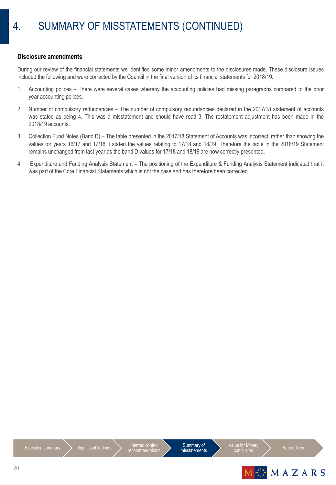#### **Disclosure amendments**

During our review of the financial statements we identified some minor amendments to the disclosures made. These disclosure issues included the following and were corrected by the Council in the final version of its financial statements for 2018/19.

- 1. Accounting polices There were several cases whereby the accounting policies had missing paragraphs compared to the prior year accounting polices.
- 2. Number of compulsory redundancies The number of compulsory redundancies declared in the 2017/18 statement of accounts was stated as being 4. This was a misstatement and should have read 3. The restatement adjustment has been made in the 2018/19 accounts.
- 3. Collection Fund Notes (Band D) The table presented in the 2017/18 Statement of Accounts was incorrect; rather than showing the values for years 16/17 and 17/18 it stated the values relating to 17/18 and 18/19. Therefore the table in the 2018/19 Statement remains unchanged from last year as the band D values for 17/18 and 18/19 are now correctly presented.
- 4. Expenditure and Funding Analysis Statement The positioning of the Expenditure & Funding Analysis Statement indicated that it was part of the Core Financial Statements which is not the case and has therefore been corrected.



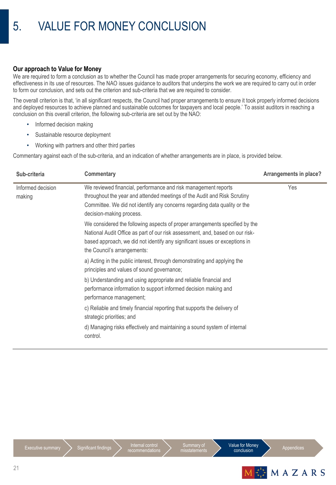#### **Our approach to Value for Money**

We are required to form a conclusion as to whether the Council has made proper arrangements for securing economy, efficiency and effectiveness in its use of resources. The NAO issues guidance to auditors that underpins the work we are required to carry out in order to form our conclusion, and sets out the criterion and sub-criteria that we are required to consider.

The overall criterion is that, 'in all significant respects, the Council had proper arrangements to ensure it took properly informed decisions and deployed resources to achieve planned and sustainable outcomes for taxpayers and local people.' To assist auditors in reaching a conclusion on this overall criterion, the following sub-criteria are set out by the NAO:

- Informed decision making
- Sustainable resource deployment
- Working with partners and other third parties

Commentary against each of the sub-criteria, and an indication of whether arrangements are in place, is provided below.

| Sub-criteria                | <b>Commentary</b>                                                                                                                                                                                                                                                          | Arrangements in place? |
|-----------------------------|----------------------------------------------------------------------------------------------------------------------------------------------------------------------------------------------------------------------------------------------------------------------------|------------------------|
| Informed decision<br>making | We reviewed financial, performance and risk management reports<br>throughout the year and attended meetings of the Audit and Risk Scrutiny<br>Committee. We did not identify any concerns regarding data quality or the<br>decision-making process.                        | Yes                    |
|                             | We considered the following aspects of proper arrangements specified by the<br>National Audit Office as part of our risk assessment, and, based on our risk-<br>based approach, we did not identify any significant issues or exceptions in<br>the Council's arrangements: |                        |
|                             | a) Acting in the public interest, through demonstrating and applying the<br>principles and values of sound governance;                                                                                                                                                     |                        |
|                             | b) Understanding and using appropriate and reliable financial and<br>performance information to support informed decision making and<br>performance management;                                                                                                            |                        |
|                             | c) Reliable and timely financial reporting that supports the delivery of<br>strategic priorities; and                                                                                                                                                                      |                        |
|                             | d) Managing risks effectively and maintaining a sound system of internal<br>control.                                                                                                                                                                                       |                        |



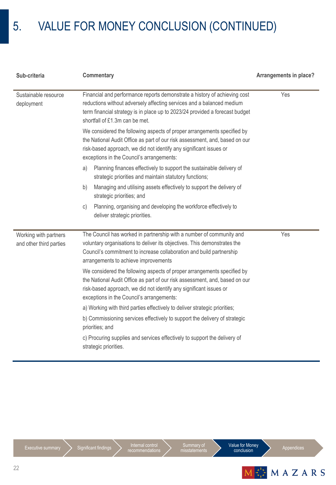### 5. VALUE FOR MONEY CONCLUSION (CONTINUED)

| Sub-criteria                                     | <b>Commentary</b>                                                                                                                                                                                                                                                         | Arrangements in place? |
|--------------------------------------------------|---------------------------------------------------------------------------------------------------------------------------------------------------------------------------------------------------------------------------------------------------------------------------|------------------------|
| Sustainable resource<br>deployment               | Financial and performance reports demonstrate a history of achieving cost<br>reductions without adversely affecting services and a balanced medium<br>term financial strategy is in place up to 2023/24 provided a forecast budget<br>shortfall of £1.3m can be met.      | Yes                    |
|                                                  | We considered the following aspects of proper arrangements specified by<br>the National Audit Office as part of our risk assessment, and, based on our<br>risk-based approach, we did not identify any significant issues or<br>exceptions in the Council's arrangements: |                        |
|                                                  | Planning finances effectively to support the sustainable delivery of<br>a)<br>strategic priorities and maintain statutory functions;                                                                                                                                      |                        |
|                                                  | Managing and utilising assets effectively to support the delivery of<br>b)<br>strategic priorities; and                                                                                                                                                                   |                        |
|                                                  | Planning, organising and developing the workforce effectively to<br>C)<br>deliver strategic priorities.                                                                                                                                                                   |                        |
| Working with partners<br>and other third parties | The Council has worked in partnership with a number of community and<br>voluntary organisations to deliver its objectives. This demonstrates the<br>Council's commitment to increase collaboration and build partnership<br>arrangements to achieve improvements          | Yes                    |
|                                                  | We considered the following aspects of proper arrangements specified by<br>the National Audit Office as part of our risk assessment, and, based on our<br>risk-based approach, we did not identify any significant issues or<br>exceptions in the Council's arrangements: |                        |
|                                                  | a) Working with third parties effectively to deliver strategic priorities;                                                                                                                                                                                                |                        |
|                                                  | b) Commissioning services effectively to support the delivery of strategic<br>priorities; and                                                                                                                                                                             |                        |
|                                                  | c) Procuring supplies and services effectively to support the delivery of<br>strategic priorities.                                                                                                                                                                        |                        |



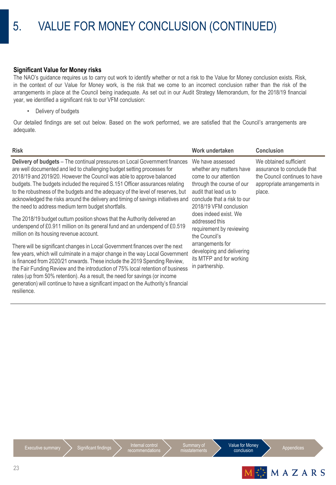### 5. VALUE FOR MONEY CONCLUSION (CONTINUED)

#### **Significant Value for Money risks**

The NAO's guidance requires us to carry out work to identify whether or not a risk to the Value for Money conclusion exists. Risk, in the context of our Value for Money work, is the risk that we come to an incorrect conclusion rather than the risk of the arrangements in place at the Council being inadequate. As set out in our Audit Strategy Memorandum, for the 2018/19 financial year, we identified a significant risk to our VFM conclusion:

• Delivery of budgets

Our detailed findings are set out below. Based on the work performed, we are satisfied that the Council's arrangements are adequate.

| <b>Risk</b>                                                                                                                                                                                                                                                                                                                                                                                                                                                                                                                                 | Work undertaken                                                                                                                                                                      | <b>Conclusion</b>                                                                                                              |
|---------------------------------------------------------------------------------------------------------------------------------------------------------------------------------------------------------------------------------------------------------------------------------------------------------------------------------------------------------------------------------------------------------------------------------------------------------------------------------------------------------------------------------------------|--------------------------------------------------------------------------------------------------------------------------------------------------------------------------------------|--------------------------------------------------------------------------------------------------------------------------------|
| Delivery of budgets - The continual pressures on Local Government finances<br>are well documented and led to challenging budget setting processes for<br>2018/19 and 2019/20. However the Council was able to approve balanced<br>budgets. The budgets included the required S.151 Officer assurances relating<br>to the robustness of the budgets and the adequacy of the level of reserves, but<br>acknowledged the risks around the delivery and timing of savings initiatives and<br>the need to address medium term budget shortfalls. | We have assessed<br>whether any matters have<br>come to our attention<br>through the course of our<br>audit that lead us to<br>conclude that a risk to our<br>2018/19 VFM conclusion | We obtained sufficient<br>assurance to conclude that<br>the Council continues to have<br>appropriate arrangements in<br>place. |
| The 2018/19 budget outturn position shows that the Authority delivered an<br>underspend of £0.911 million on its general fund and an underspend of £0.519<br>million on its housing revenue account.                                                                                                                                                                                                                                                                                                                                        | does indeed exist. We<br>addressed this<br>requirement by reviewing<br>the Council's                                                                                                 |                                                                                                                                |
| There will be significant changes in Local Government finances over the next<br>few years, which will culminate in a major change in the way Local Government<br>is financed from 2020/21 onwards. These include the 2019 Spending Review,<br>the Fair Funding Review and the introduction of 75% local retention of business<br>rates (up from 50% retention). As a result, the need for savings (or income<br>generation) will continue to have a significant impact on the Authority's financial<br>resilience.                          | arrangements for<br>developing and delivering<br>its MTFP and for working<br>in partnership.                                                                                         |                                                                                                                                |



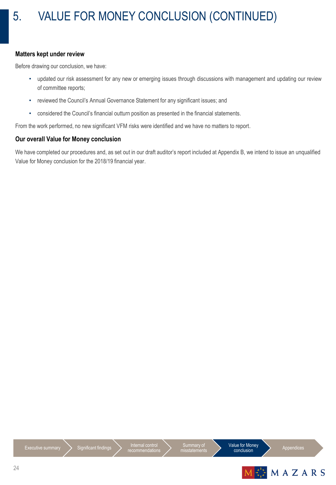#### **Matters kept under review**

Before drawing our conclusion, we have:

- updated our risk assessment for any new or emerging issues through discussions with management and updating our review of committee reports;
- reviewed the Council's Annual Governance Statement for any significant issues; and
- considered the Council's financial outturn position as presented in the financial statements.

From the work performed, no new significant VFM risks were identified and we have no matters to report.

### **Our overall Value for Money conclusion**

We have completed our procedures and, as set out in our draft auditor's report included at Appendix B, we intend to issue an unqualified Value for Money conclusion for the 2018/19 financial year.



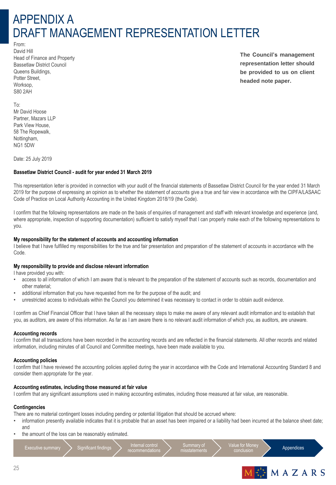### APPENDIX A DRAFT MANAGEMENT REPRESENTATION LETTER

From: David Hill Head of Finance and Property Bassetlaw District Council Queens Buildings, Potter Street, Worksop, S80 2AH

**The Council's management representation letter should be provided to us on client headed note paper.**

To: Mr David Hoose Partner, Mazars LLP Park View House, 58 The Ropewalk, Nottingham, NG1 5DW

Date: 25 July 2019

#### **Bassetlaw District Council - audit for year ended 31 March 2019**

This representation letter is provided in connection with your audit of the financial statements of Bassetlaw District Council for the year ended 31 March 2019 for the purpose of expressing an opinion as to whether the statement of accounts give a true and fair view in accordance with the CIPFA/LASAAC Code of Practice on Local Authority Accounting in the United Kingdom 2018/19 (the Code).

I confirm that the following representations are made on the basis of enquiries of management and staff with relevant knowledge and experience (and, where appropriate, inspection of supporting documentation) sufficient to satisfy myself that I can properly make each of the following representations to you.

#### **My responsibility for the statement of accounts and accounting information**

I believe that I have fulfilled my responsibilities for the true and fair presentation and preparation of the statement of accounts in accordance with the Code.

#### **My responsibility to provide and disclose relevant information**

I have provided you with:

- access to all information of which I am aware that is relevant to the preparation of the statement of accounts such as records, documentation and other material;
- additional information that you have requested from me for the purpose of the audit; and
- unrestricted access to individuals within the Council you determined it was necessary to contact in order to obtain audit evidence.

I confirm as Chief Financial Officer that I have taken all the necessary steps to make me aware of any relevant audit information and to establish that you, as auditors, are aware of this information. As far as I am aware there is no relevant audit information of which you, as auditors, are unaware.

#### **Accounting records**

I confirm that all transactions have been recorded in the accounting records and are reflected in the financial statements. All other records and related information, including minutes of all Council and Committee meetings, have been made available to you.

#### **Accounting policies**

I confirm that I have reviewed the accounting policies applied during the year in accordance with the Code and International Accounting Standard 8 and consider them appropriate for the year.

#### **Accounting estimates, including those measured at fair value**

I confirm that any significant assumptions used in making accounting estimates, including those measured at fair value, are reasonable.

#### **Contingencies**

There are no material contingent losses including pending or potential litigation that should be accrued where:

- information presently available indicates that it is probable that an asset has been impaired or a liability had been incurred at the balance sheet date; and
- the amount of the loss can be reasonably estimated.

Executive summary  $\sum$  Significant findings  $\sum$  Internal control

recommendation



Value for Mone<br>conclusion



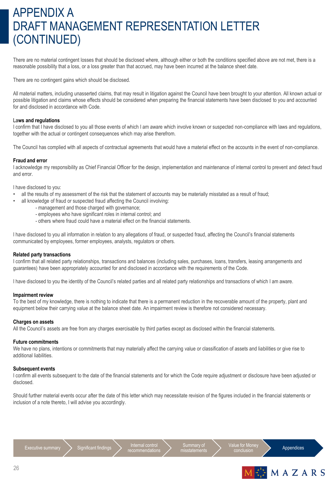### APPENDIX A DRAFT MANAGEMENT REPRESENTATION LETTER (CONTINUED)

There are no material contingent losses that should be disclosed where, although either or both the conditions specified above are not met, there is a reasonable possibility that a loss, or a loss greater than that accrued, may have been incurred at the balance sheet date.

There are no contingent gains which should be disclosed.

All material matters, including unasserted claims, that may result in litigation against the Council have been brought to your attention. All known actual or possible litigation and claims whose effects should be considered when preparing the financial statements have been disclosed to you and accounted for and disclosed in accordance with Code.

#### La**ws and regulations**

I confirm that I have disclosed to you all those events of which I am aware which involve known or suspected non-compliance with laws and regulations, together with the actual or contingent consequences which may arise therefrom.

The Council has complied with all aspects of contractual agreements that would have a material effect on the accounts in the event of non-compliance.

#### **Fraud and error**

I acknowledge my responsibility as Chief Financial Officer for the design, implementation and maintenance of internal control to prevent and detect fraud and error.

I have disclosed to you:

- all the results of my assessment of the risk that the statement of accounts may be materially misstated as a result of fraud;
	- all knowledge of fraud or suspected fraud affecting the Council involving:
		- management and those charged with governance;
		- employees who have significant roles in internal control; and
		- others where fraud could have a material effect on the financial statements.

I have disclosed to you all information in relation to any allegations of fraud, or suspected fraud, affecting the Council's financial statements communicated by employees, former employees, analysts, regulators or others.

#### **Related party transactions**

I confirm that all related party relationships, transactions and balances (including sales, purchases, loans, transfers, leasing arrangements and guarantees) have been appropriately accounted for and disclosed in accordance with the requirements of the Code.

I have disclosed to you the identity of the Council's related parties and all related party relationships and transactions of which I am aware.

#### **Impairment review**

To the best of my knowledge, there is nothing to indicate that there is a permanent reduction in the recoverable amount of the property, plant and equipment below their carrying value at the balance sheet date. An impairment review is therefore not considered necessary.

#### **Charges on assets**

All the Council's assets are free from any charges exercisable by third parties except as disclosed within the financial statements.

#### **Future commitments**

We have no plans, intentions or commitments that may materially affect the carrying value or classification of assets and liabilities or give rise to additional liabilities.

#### **Subsequent events**

I confirm all events subsequent to the date of the financial statements and for which the Code require adjustment or disclosure have been adjusted or disclosed.

Should further material events occur after the date of this letter which may necessitate revision of the figures included in the financial statements or inclusion of a note thereto, I will advise you accordingly.

Executive summary  $\sum$  Significant findings  $\sum$  Internal control recommendation



Value for Mone The internation and the Appendices

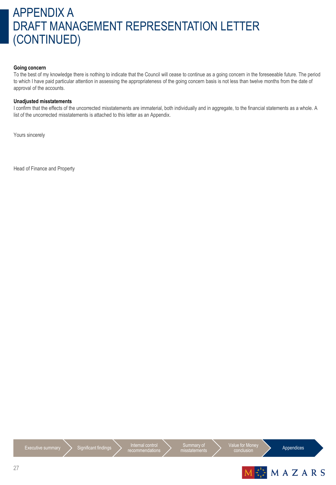### APPENDIX A DRAFT MANAGEMENT REPRESENTATION LETTER (CONTINUED)

#### **Going concern**

To the best of my knowledge there is nothing to indicate that the Council will cease to continue as a going concern in the foreseeable future. The period to which I have paid particular attention in assessing the appropriateness of the going concern basis is not less than twelve months from the date of approval of the accounts.

#### **Unadjusted misstatements**

I confirm that the effects of the uncorrected misstatements are immaterial, both individually and in aggregate, to the financial statements as a whole. A list of the uncorrected misstatements is attached to this letter as an Appendix.

Yours sincerely

Head of Finance and Property

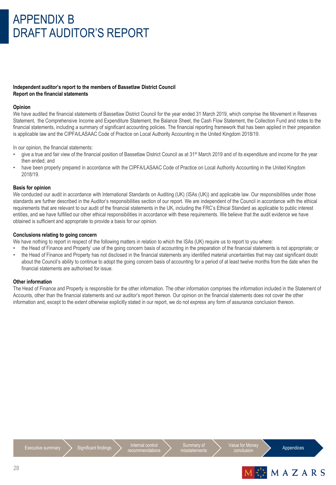### APPENDIX B DRAFT AUDITOR'S REPORT

#### **Independent auditor's report to the members of Bassetlaw District Council Report on the financial statements**

#### **Opinion**

We have audited the financial statements of Bassetlaw District Council for the year ended 31 March 2019, which comprise the Movement in Reserves Statement, the Comprehensive Income and Expenditure Statement, the Balance Sheet, the Cash Flow Statement, the Collection Fund and notes to the financial statements, including a summary of significant accounting policies. The financial reporting framework that has been applied in their preparation is applicable law and the CIPFA/LASAAC Code of Practice on Local Authority Accounting in the United Kingdom 2018/19.

In our opinion, the financial statements:

- give a true and fair view of the financial position of Bassetlaw District Council as at 31<sup>st</sup> March 2019 and of its expenditure and income for the year then ended; and
- have been properly prepared in accordance with the CIPFA/LASAAC Code of Practice on Local Authority Accounting in the United Kingdom 2018/19.

#### **Basis for opinion**

We conducted our audit in accordance with International Standards on Auditing (UK) (ISAs (UK)) and applicable law. Our responsibilities under those standards are further described in the Auditor's responsibilities section of our report. We are independent of the Council in accordance with the ethical requirements that are relevant to our audit of the financial statements in the UK, including the FRC's Ethical Standard as applicable to public interest entities, and we have fulfilled our other ethical responsibilities in accordance with these requirements. We believe that the audit evidence we have obtained is sufficient and appropriate to provide a basis for our opinion.

#### **Conclusions relating to going concern**

We have nothing to report in respect of the following matters in relation to which the ISAs (UK) require us to report to you where:

• the Head of Finance and Property' use of the going concern basis of accounting in the preparation of the financial statements is not appropriate; or • the Head of Finance and Property has not disclosed in the financial statements any identified material uncertainties that may cast significant doubt about the Council's ability to continue to adopt the going concern basis of accounting for a period of at least twelve months from the date when the financial statements are authorised for issue.

#### **Other information**

The Head of Finance and Property is responsible for the other information. The other information comprises the information included in the Statement of Accounts, other than the financial statements and our auditor's report thereon. Our opinion on the financial statements does not cover the other information and, except to the extent otherwise explicitly stated in our report, we do not express any form of assurance conclusion thereon.



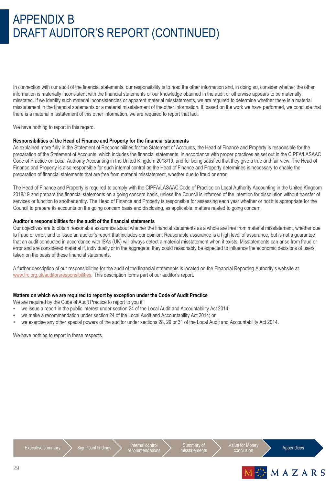### APPENDIX B DRAFT AUDITOR'S REPORT (CONTINUED)

In connection with our audit of the financial statements, our responsibility is to read the other information and, in doing so, consider whether the other information is materially inconsistent with the financial statements or our knowledge obtained in the audit or otherwise appears to be materially misstated. If we identify such material inconsistencies or apparent material misstatements, we are required to determine whether there is a material misstatement in the financial statements or a material misstatement of the other information. If, based on the work we have performed, we conclude that there is a material misstatement of this other information, we are required to report that fact.

We have nothing to report in this regard.

#### **Responsibilities of the Head of Finance and Property for the financial statements**

As explained more fully in the Statement of Responsibilities for the Statement of Accounts, the Head of Finance and Property is responsible for the preparation of the Statement of Accounts, which includes the financial statements, in accordance with proper practices as set out in the CIPFA/LASAAC Code of Practice on Local Authority Accounting in the United Kingdom 2018/19, and for being satisfied that they give a true and fair view. The Head of Finance and Property is also responsible for such internal control as the Head of Finance and Property determines is necessary to enable the preparation of financial statements that are free from material misstatement, whether due to fraud or error.

The Head of Finance and Property is required to comply with the CIPFA/LASAAC Code of Practice on Local Authority Accounting in the United Kingdom 2018/19 and prepare the financial statements on a going concern basis, unless the Council is informed of the intention for dissolution without transfer of services or function to another entity. The Head of Finance and Property is responsible for assessing each year whether or not it is appropriate for the Council to prepare its accounts on the going concern basis and disclosing, as applicable, matters related to going concern.

#### **Auditor's responsibilities for the audit of the financial statements**

Our objectives are to obtain reasonable assurance about whether the financial statements as a whole are free from material misstatement, whether due to fraud or error, and to issue an auditor's report that includes our opinion. Reasonable assurance is a high level of assurance, but is not a guarantee that an audit conducted in accordance with ISAs (UK) will always detect a material misstatement when it exists. Misstatements can arise from fraud or error and are considered material if, individually or in the aggregate, they could reasonably be expected to influence the economic decisions of users taken on the basis of these financial statements.

A further description of our responsibilities for the audit of the financial statements is located on the Financial Reporting Authority's website at [www.frc.org.uk/auditorsresponsibilities](http://www.frc.org.uk/auditorsresponsibilities). This description forms part of our auditor's report.

#### **Matters on which we are required to report by exception under the Code of Audit Practice**

We are required by the Code of Audit Practice to report to you if:

- we issue a report in the public interest under section 24 of the Local Audit and Accountability Act 2014;
- we make a recommendation under section 24 of the Local Audit and Accountability Act 2014; or
- we exercise any other special powers of the auditor under sections 28, 29 or 31 of the Local Audit and Accountability Act 2014.

We have nothing to report in these respects.





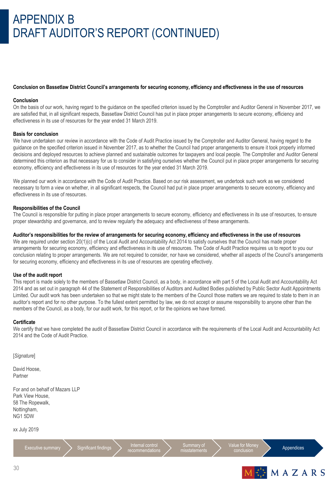### APPENDIX B DRAFT AUDITOR'S REPORT (CONTINUED)

#### **Conclusion on Bassetlaw District Council's arrangements for securing economy, efficiency and effectiveness in the use of resources**

#### **Conclusion**

On the basis of our work, having regard to the guidance on the specified criterion issued by the Comptroller and Auditor General in November 2017, we are satisfied that, in all significant respects, Bassetlaw District Council has put in place proper arrangements to secure economy, efficiency and effectiveness in its use of resources for the year ended 31 March 2019.

#### **Basis for conclusion**

We have undertaken our review in accordance with the Code of Audit Practice issued by the Comptroller and Auditor General, having regard to the guidance on the specified criterion issued in November 2017, as to whether the Council had proper arrangements to ensure it took properly informed decisions and deployed resources to achieve planned and sustainable outcomes for taxpayers and local people. The Comptroller and Auditor General determined this criterion as that necessary for us to consider in satisfying ourselves whether the Council put in place proper arrangements for securing economy, efficiency and effectiveness in its use of resources for the year ended 31 March 2019.

We planned our work in accordance with the Code of Audit Practice. Based on our risk assessment, we undertook such work as we considered necessary to form a view on whether, in all significant respects, the Council had put in place proper arrangements to secure economy, efficiency and effectiveness in its use of resources.

#### **Responsibilities of the Council**

The Council is responsible for putting in place proper arrangements to secure economy, efficiency and effectiveness in its use of resources, to ensure proper stewardship and governance, and to review regularly the adequacy and effectiveness of these arrangements.

#### **Auditor's responsibilities for the review of arrangements for securing economy, efficiency and effectiveness in the use of resources**

We are required under section 20(1)(c) of the Local Audit and Accountability Act 2014 to satisfy ourselves that the Council has made proper arrangements for securing economy, efficiency and effectiveness in its use of resources. The Code of Audit Practice requires us to report to you our conclusion relating to proper arrangements. We are not required to consider, nor have we considered, whether all aspects of the Council's arrangements for securing economy, efficiency and effectiveness in its use of resources are operating effectively.

#### **Use of the audit report**

This report is made solely to the members of Bassetlaw District Council, as a body, in accordance with part 5 of the Local Audit and Accountability Act 2014 and as set out in paragraph 44 of the Statement of Responsibilities of Auditors and Audited Bodies published by Public Sector Audit Appointments Limited. Our audit work has been undertaken so that we might state to the members of the Council those matters we are required to state to them in an auditor's report and for no other purpose. To the fullest extent permitted by law, we do not accept or assume responsibility to anyone other than the members of the Council, as a body, for our audit work, for this report, or for the opinions we have formed.

#### **Certificate**

We certify that we have completed the audit of Bassetlaw District Council in accordance with the requirements of the Local Audit and Accountability Act 2014 and the Code of Audit Practice.

[*Signature*]

David Hoose, Partner

For and on behalf of Mazars LLP Park View House, 58 The Ropewalk, Nottingham, NG1 5DW

xx July 2019

 $\frac{1}{2}$  Executive summary  $\sum$  Significant findings  $\sum$  Internal control

recommendation

Summary of misstatements Value for Mone

Appendices

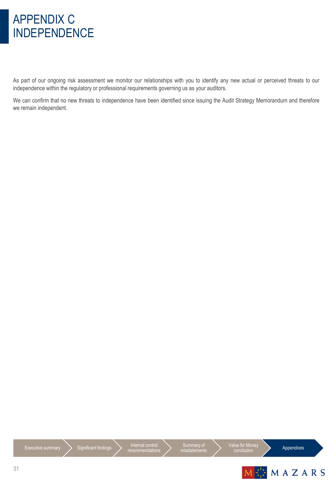### APPENDIX C INDEPENDENCE

As part of our ongoing risk assessment we monitor our relationships with you to identify any new actual or perceived threats to our independence within the regulatory or professional requirements governing us as your auditors.

We can confirm that no new threats to independence have been identified since issuing the Audit Strategy Memorandum and therefore we remain independent.

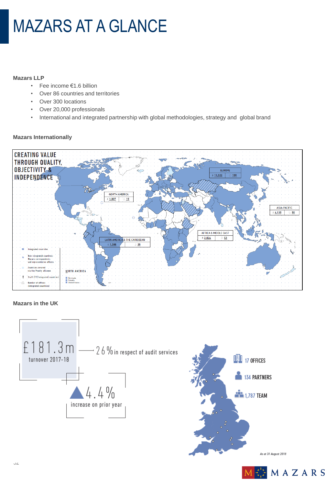# MAZARS AT A GLANCE

#### **Mazars LLP**

- Fee income €1.6 billion
- Over 86 countries and territories
- Over 300 locations
- Over 20,000 professionals
- International and integrated partnership with global methodologies, strategy and global brand

#### **Mazars Internationally**



#### **Mazars in the UK**



As at 31 August 2018